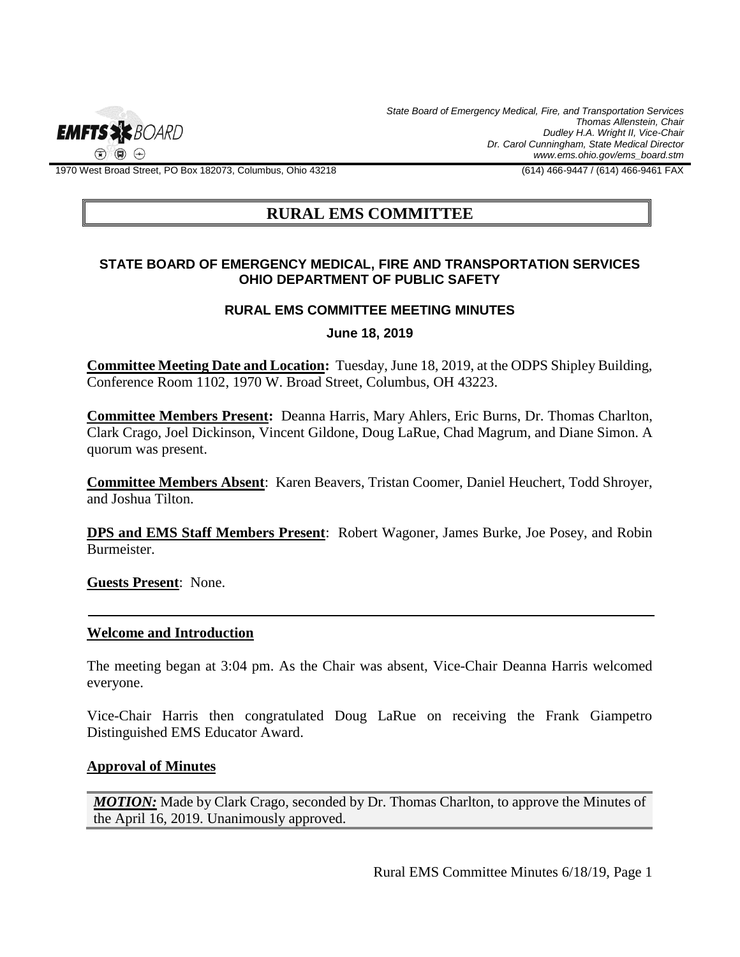

*State Board of Emergency Medical, Fire, and Transportation Services Thomas Allenstein, Chair Dudley H.A. Wright II, Vice-Chair Dr. Carol Cunningham, State Medical Director www.ems.ohio.gov/ems\_board.stm*

1970 West Broad Street, PO Box 182073, Columbus, Ohio 43218 (614) 466-9447 / (614) 466-9461 FAX

# **RURAL EMS COMMITTEE**

## **STATE BOARD OF EMERGENCY MEDICAL, FIRE AND TRANSPORTATION SERVICES OHIO DEPARTMENT OF PUBLIC SAFETY**

#### **RURAL EMS COMMITTEE MEETING MINUTES**

**June 18, 2019**

**Committee Meeting Date and Location:** Tuesday, June 18, 2019, at the ODPS Shipley Building, Conference Room 1102, 1970 W. Broad Street, Columbus, OH 43223.

**Committee Members Present:** Deanna Harris, Mary Ahlers, Eric Burns, Dr. Thomas Charlton, Clark Crago, Joel Dickinson, Vincent Gildone, Doug LaRue, Chad Magrum, and Diane Simon. A quorum was present.

**Committee Members Absent**: Karen Beavers, Tristan Coomer, Daniel Heuchert, Todd Shroyer, and Joshua Tilton.

**DPS and EMS Staff Members Present**: Robert Wagoner, James Burke, Joe Posey, and Robin Burmeister.

**Guests Present**: None.

#### **Welcome and Introduction**

The meeting began at 3:04 pm. As the Chair was absent, Vice-Chair Deanna Harris welcomed everyone.

Vice-Chair Harris then congratulated Doug LaRue on receiving the Frank Giampetro Distinguished EMS Educator Award.

### **Approval of Minutes**

*MOTION:* Made by Clark Crago, seconded by Dr. Thomas Charlton, to approve the Minutes of the April 16, 2019. Unanimously approved.

Rural EMS Committee Minutes 6/18/19, Page 1